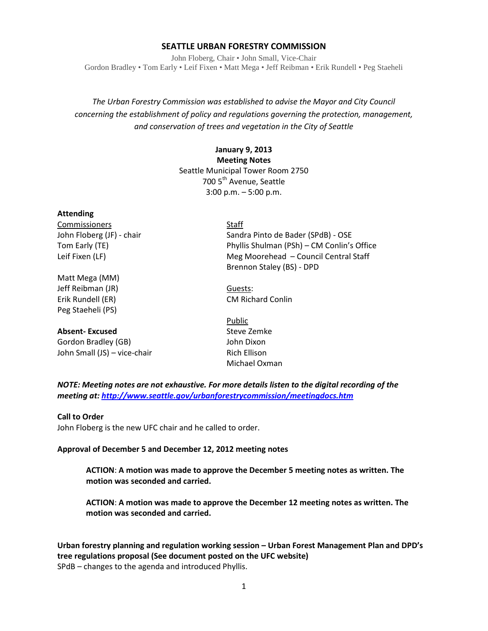#### **SEATTLE URBAN FORESTRY COMMISSION**

John Floberg, Chair • John Small, Vice-Chair Gordon Bradley • Tom Early • Leif Fixen • Matt Mega • Jeff Reibman • Erik Rundell • Peg Staeheli

*The Urban Forestry Commission was established to advise the Mayor and City Council concerning the establishment of policy and regulations governing the protection, management, and conservation of trees and vegetation in the City of Seattle*

#### **January 9, 2013 Meeting Notes** Seattle Municipal Tower Room 2750 700 5<sup>th</sup> Avenue, Seattle 3:00 p.m. – 5:00 p.m.

#### **Attending**

Commissioners Staff

Matt Mega (MM) Jeff Reibman (JR) Guests: Erik Rundell (ER) CM Richard Conlin Peg Staeheli (PS)

### **Absent-Excused** Steve Zemke

Gordon Bradley (GB) Solid Common Solid Common Solid Common Solid Common Solid Common Solid Common Solid Common Solid Common Solid Common Solid Common Solid Common Solid Common Solid Common Solid Common Solid Common Solid C John Small (JS) – vice-chair Rich Ellison

John Floberg (JF) - chair Sandra Pinto de Bader (SPdB) - OSE Tom Early (TE) Phyllis Shulman (PSh) – CM Conlin's Office Leif Fixen (LF) **Meg Moorehead – Council Central Staff** Brennon Staley (BS) - DPD

Public Michael Oxman

*NOTE: Meeting notes are not exhaustive. For more details listen to the digital recording of the meeting at[: http://www.seattle.gov/urbanforestrycommission/meetingdocs.htm](http://www.seattle.gov/urbanforestrycommission/meetingdocs.htm)*

#### **Call to Order**

John Floberg is the new UFC chair and he called to order.

#### **Approval of December 5 and December 12, 2012 meeting notes**

**ACTION**: **A motion was made to approve the December 5 meeting notes as written. The motion was seconded and carried.** 

**ACTION**: **A motion was made to approve the December 12 meeting notes as written. The motion was seconded and carried.** 

**Urban forestry planning and regulation working session – Urban Forest Management Plan and DPD's tree regulations proposal (See document posted on the UFC website)** SPdB – changes to the agenda and introduced Phyllis.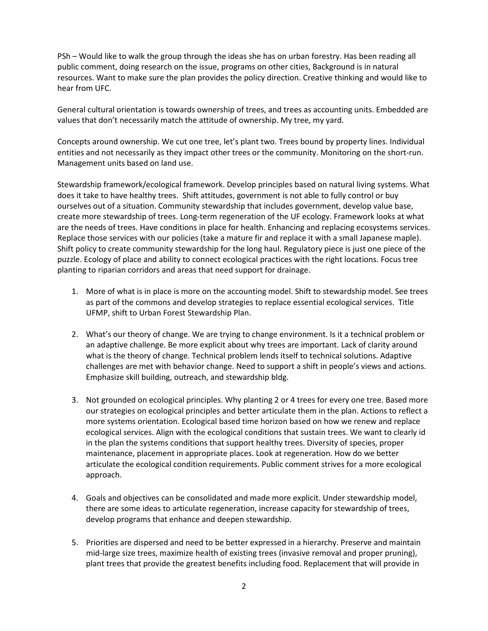PSh – Would like to walk the group through the ideas she has on urban forestry. Has been reading all public comment, doing research on the issue, programs on other cities, Background is in natural resources. Want to make sure the plan provides the policy direction. Creative thinking and would like to hear from UFC.

General cultural orientation is towards ownership of trees, and trees as accounting units. Embedded are values that don't necessarily match the attitude of ownership. My tree, my yard.

Concepts around ownership. We cut one tree, let's plant two. Trees bound by property lines. Individual entities and not necessarily as they impact other trees or the community. Monitoring on the short-run. Management units based on land use.

Stewardship framework/ecological framework. Develop principles based on natural living systems. What does it take to have healthy trees. Shift attitudes, government is not able to fully control or buy ourselves out of a situation. Community stewardship that includes government, develop value base, create more stewardship of trees. Long-term regeneration of the UF ecology. Framework looks at what are the needs of trees. Have conditions in place for health. Enhancing and replacing ecosystems services. Replace those services with our policies (take a mature fir and replace it with a small Japanese maple). Shift policy to create community stewardship for the long haul. Regulatory piece is just one piece of the puzzle. Ecology of place and ability to connect ecological practices with the right locations. Focus tree planting to riparian corridors and areas that need support for drainage.

- 1. More of what is in place is more on the accounting model. Shift to stewardship model. See trees as part of the commons and develop strategies to replace essential ecological services. Title UFMP, shift to Urban Forest Stewardship Plan.
- 2. What's our theory of change. We are trying to change environment. Is it a technical problem or an adaptive challenge. Be more explicit about why trees are important. Lack of clarity around what is the theory of change. Technical problem lends itself to technical solutions. Adaptive challenges are met with behavior change. Need to support a shift in people's views and actions. Emphasize skill building, outreach, and stewardship bldg.
- 3. Not grounded on ecological principles. Why planting 2 or 4 trees for every one tree. Based more our strategies on ecological principles and better articulate them in the plan. Actions to reflect a more systems orientation. Ecological based time horizon based on how we renew and replace ecological services. Align with the ecological conditions that sustain trees. We want to clearly id in the plan the systems conditions that support healthy trees. Diversity of species, proper maintenance, placement in appropriate places. Look at regeneration. How do we better articulate the ecological condition requirements. Public comment strives for a more ecological approach.
- 4. Goals and objectives can be consolidated and made more explicit. Under stewardship model, there are some ideas to articulate regeneration, increase capacity for stewardship of trees, develop programs that enhance and deepen stewardship.
- 5. Priorities are dispersed and need to be better expressed in a hierarchy. Preserve and maintain mid-large size trees, maximize health of existing trees (invasive removal and proper pruning), plant trees that provide the greatest benefits including food. Replacement that will provide in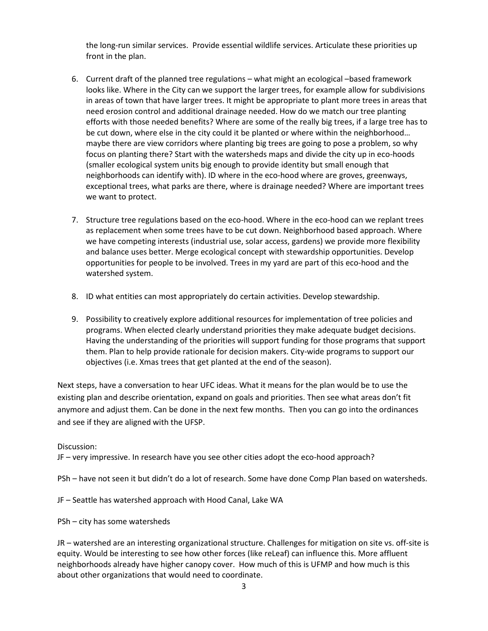the long-run similar services. Provide essential wildlife services. Articulate these priorities up front in the plan.

- 6. Current draft of the planned tree regulations what might an ecological –based framework looks like. Where in the City can we support the larger trees, for example allow for subdivisions in areas of town that have larger trees. It might be appropriate to plant more trees in areas that need erosion control and additional drainage needed. How do we match our tree planting efforts with those needed benefits? Where are some of the really big trees, if a large tree has to be cut down, where else in the city could it be planted or where within the neighborhood… maybe there are view corridors where planting big trees are going to pose a problem, so why focus on planting there? Start with the watersheds maps and divide the city up in eco-hoods (smaller ecological system units big enough to provide identity but small enough that neighborhoods can identify with). ID where in the eco-hood where are groves, greenways, exceptional trees, what parks are there, where is drainage needed? Where are important trees we want to protect.
- 7. Structure tree regulations based on the eco-hood. Where in the eco-hood can we replant trees as replacement when some trees have to be cut down. Neighborhood based approach. Where we have competing interests (industrial use, solar access, gardens) we provide more flexibility and balance uses better. Merge ecological concept with stewardship opportunities. Develop opportunities for people to be involved. Trees in my yard are part of this eco-hood and the watershed system.
- 8. ID what entities can most appropriately do certain activities. Develop stewardship.
- 9. Possibility to creatively explore additional resources for implementation of tree policies and programs. When elected clearly understand priorities they make adequate budget decisions. Having the understanding of the priorities will support funding for those programs that support them. Plan to help provide rationale for decision makers. City-wide programs to support our objectives (i.e. Xmas trees that get planted at the end of the season).

Next steps, have a conversation to hear UFC ideas. What it means for the plan would be to use the existing plan and describe orientation, expand on goals and priorities. Then see what areas don't fit anymore and adjust them. Can be done in the next few months. Then you can go into the ordinances and see if they are aligned with the UFSP.

Discussion:

JF – very impressive. In research have you see other cities adopt the eco-hood approach?

PSh – have not seen it but didn't do a lot of research. Some have done Comp Plan based on watersheds.

JF – Seattle has watershed approach with Hood Canal, Lake WA

PSh – city has some watersheds

JR – watershed are an interesting organizational structure. Challenges for mitigation on site vs. off-site is equity. Would be interesting to see how other forces (like reLeaf) can influence this. More affluent neighborhoods already have higher canopy cover. How much of this is UFMP and how much is this about other organizations that would need to coordinate.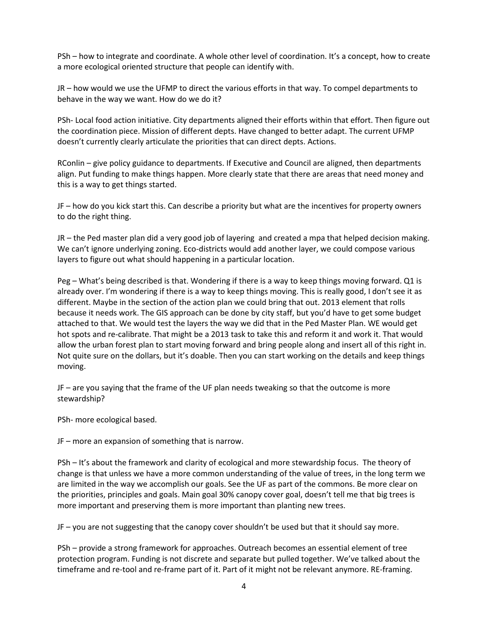PSh – how to integrate and coordinate. A whole other level of coordination. It's a concept, how to create a more ecological oriented structure that people can identify with.

JR – how would we use the UFMP to direct the various efforts in that way. To compel departments to behave in the way we want. How do we do it?

PSh- Local food action initiative. City departments aligned their efforts within that effort. Then figure out the coordination piece. Mission of different depts. Have changed to better adapt. The current UFMP doesn't currently clearly articulate the priorities that can direct depts. Actions.

RConlin – give policy guidance to departments. If Executive and Council are aligned, then departments align. Put funding to make things happen. More clearly state that there are areas that need money and this is a way to get things started.

JF – how do you kick start this. Can describe a priority but what are the incentives for property owners to do the right thing.

JR – the Ped master plan did a very good job of layering and created a mpa that helped decision making. We can't ignore underlying zoning. Eco-districts would add another layer, we could compose various layers to figure out what should happening in a particular location.

Peg – What's being described is that. Wondering if there is a way to keep things moving forward. Q1 is already over. I'm wondering if there is a way to keep things moving. This is really good, I don't see it as different. Maybe in the section of the action plan we could bring that out. 2013 element that rolls because it needs work. The GIS approach can be done by city staff, but you'd have to get some budget attached to that. We would test the layers the way we did that in the Ped Master Plan. WE would get hot spots and re-calibrate. That might be a 2013 task to take this and reform it and work it. That would allow the urban forest plan to start moving forward and bring people along and insert all of this right in. Not quite sure on the dollars, but it's doable. Then you can start working on the details and keep things moving.

JF – are you saying that the frame of the UF plan needs tweaking so that the outcome is more stewardship?

PSh- more ecological based.

JF – more an expansion of something that is narrow.

PSh – It's about the framework and clarity of ecological and more stewardship focus. The theory of change is that unless we have a more common understanding of the value of trees, in the long term we are limited in the way we accomplish our goals. See the UF as part of the commons. Be more clear on the priorities, principles and goals. Main goal 30% canopy cover goal, doesn't tell me that big trees is more important and preserving them is more important than planting new trees.

JF – you are not suggesting that the canopy cover shouldn't be used but that it should say more.

PSh – provide a strong framework for approaches. Outreach becomes an essential element of tree protection program. Funding is not discrete and separate but pulled together. We've talked about the timeframe and re-tool and re-frame part of it. Part of it might not be relevant anymore. RE-framing.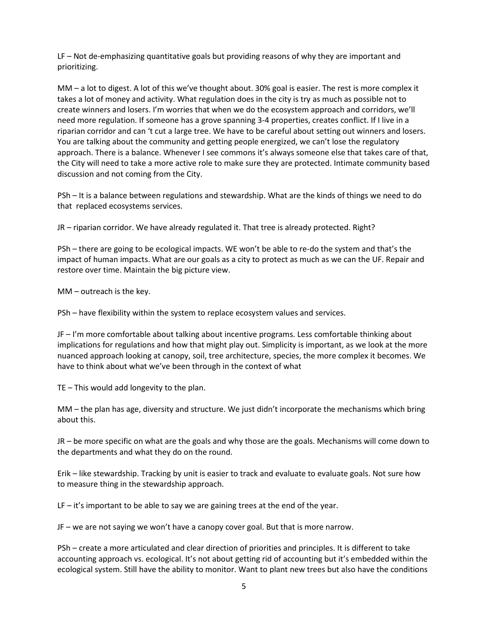LF – Not de-emphasizing quantitative goals but providing reasons of why they are important and prioritizing.

MM – a lot to digest. A lot of this we've thought about. 30% goal is easier. The rest is more complex it takes a lot of money and activity. What regulation does in the city is try as much as possible not to create winners and losers. I'm worries that when we do the ecosystem approach and corridors, we'll need more regulation. If someone has a grove spanning 3-4 properties, creates conflict. If I live in a riparian corridor and can 't cut a large tree. We have to be careful about setting out winners and losers. You are talking about the community and getting people energized, we can't lose the regulatory approach. There is a balance. Whenever I see commons it's always someone else that takes care of that, the City will need to take a more active role to make sure they are protected. Intimate community based discussion and not coming from the City.

PSh – It is a balance between regulations and stewardship. What are the kinds of things we need to do that replaced ecosystems services.

JR – riparian corridor. We have already regulated it. That tree is already protected. Right?

PSh – there are going to be ecological impacts. WE won't be able to re-do the system and that's the impact of human impacts. What are our goals as a city to protect as much as we can the UF. Repair and restore over time. Maintain the big picture view.

MM – outreach is the key.

PSh – have flexibility within the system to replace ecosystem values and services.

JF – I'm more comfortable about talking about incentive programs. Less comfortable thinking about implications for regulations and how that might play out. Simplicity is important, as we look at the more nuanced approach looking at canopy, soil, tree architecture, species, the more complex it becomes. We have to think about what we've been through in the context of what

TE – This would add longevity to the plan.

MM – the plan has age, diversity and structure. We just didn't incorporate the mechanisms which bring about this.

JR – be more specific on what are the goals and why those are the goals. Mechanisms will come down to the departments and what they do on the round.

Erik – like stewardship. Tracking by unit is easier to track and evaluate to evaluate goals. Not sure how to measure thing in the stewardship approach.

LF – it's important to be able to say we are gaining trees at the end of the year.

JF – we are not saying we won't have a canopy cover goal. But that is more narrow.

PSh – create a more articulated and clear direction of priorities and principles. It is different to take accounting approach vs. ecological. It's not about getting rid of accounting but it's embedded within the ecological system. Still have the ability to monitor. Want to plant new trees but also have the conditions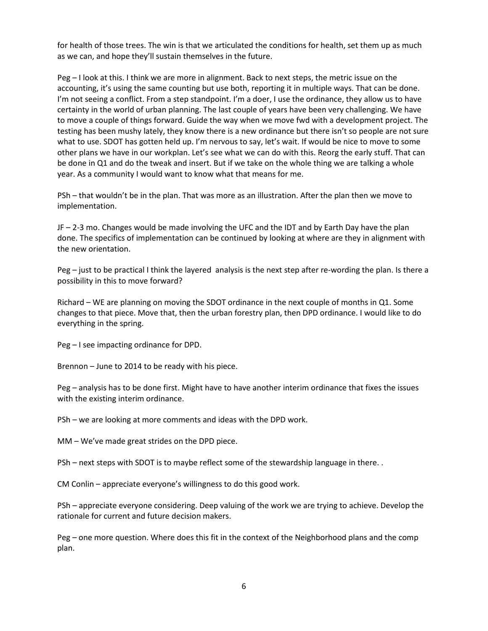for health of those trees. The win is that we articulated the conditions for health, set them up as much as we can, and hope they'll sustain themselves in the future.

Peg – I look at this. I think we are more in alignment. Back to next steps, the metric issue on the accounting, it's using the same counting but use both, reporting it in multiple ways. That can be done. I'm not seeing a conflict. From a step standpoint. I'm a doer, I use the ordinance, they allow us to have certainty in the world of urban planning. The last couple of years have been very challenging. We have to move a couple of things forward. Guide the way when we move fwd with a development project. The testing has been mushy lately, they know there is a new ordinance but there isn't so people are not sure what to use. SDOT has gotten held up. I'm nervous to say, let's wait. If would be nice to move to some other plans we have in our workplan. Let's see what we can do with this. Reorg the early stuff. That can be done in Q1 and do the tweak and insert. But if we take on the whole thing we are talking a whole year. As a community I would want to know what that means for me.

PSh – that wouldn't be in the plan. That was more as an illustration. After the plan then we move to implementation.

JF – 2-3 mo. Changes would be made involving the UFC and the IDT and by Earth Day have the plan done. The specifics of implementation can be continued by looking at where are they in alignment with the new orientation.

Peg – just to be practical I think the layered analysis is the next step after re-wording the plan. Is there a possibility in this to move forward?

Richard – WE are planning on moving the SDOT ordinance in the next couple of months in Q1. Some changes to that piece. Move that, then the urban forestry plan, then DPD ordinance. I would like to do everything in the spring.

Peg – I see impacting ordinance for DPD.

Brennon – June to 2014 to be ready with his piece.

Peg – analysis has to be done first. Might have to have another interim ordinance that fixes the issues with the existing interim ordinance.

PSh – we are looking at more comments and ideas with the DPD work.

MM – We've made great strides on the DPD piece.

PSh – next steps with SDOT is to maybe reflect some of the stewardship language in there. .

CM Conlin – appreciate everyone's willingness to do this good work.

PSh – appreciate everyone considering. Deep valuing of the work we are trying to achieve. Develop the rationale for current and future decision makers.

Peg – one more question. Where does this fit in the context of the Neighborhood plans and the comp plan.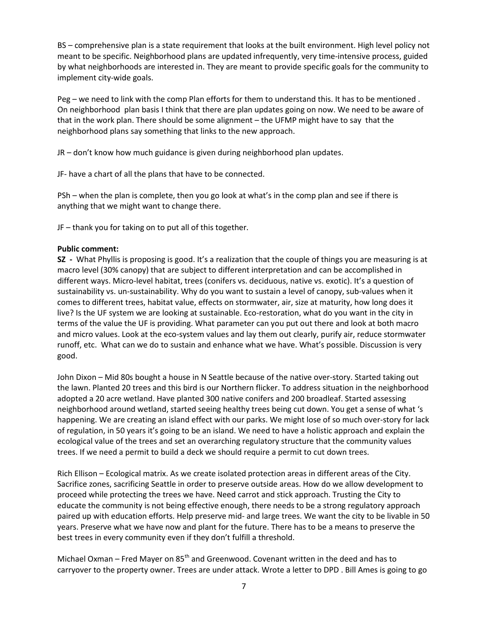BS – comprehensive plan is a state requirement that looks at the built environment. High level policy not meant to be specific. Neighborhood plans are updated infrequently, very time-intensive process, guided by what neighborhoods are interested in. They are meant to provide specific goals for the community to implement city-wide goals.

Peg – we need to link with the comp Plan efforts for them to understand this. It has to be mentioned . On neighborhood plan basis I think that there are plan updates going on now. We need to be aware of that in the work plan. There should be some alignment – the UFMP might have to say that the neighborhood plans say something that links to the new approach.

JR – don't know how much guidance is given during neighborhood plan updates.

JF- have a chart of all the plans that have to be connected.

PSh – when the plan is complete, then you go look at what's in the comp plan and see if there is anything that we might want to change there.

JF – thank you for taking on to put all of this together.

#### **Public comment:**

**SZ -** What Phyllis is proposing is good. It's a realization that the couple of things you are measuring is at macro level (30% canopy) that are subject to different interpretation and can be accomplished in different ways. Micro-level habitat, trees (conifers vs. deciduous, native vs. exotic). It's a question of sustainability vs. un-sustainability. Why do you want to sustain a level of canopy, sub-values when it comes to different trees, habitat value, effects on stormwater, air, size at maturity, how long does it live? Is the UF system we are looking at sustainable. Eco-restoration, what do you want in the city in terms of the value the UF is providing. What parameter can you put out there and look at both macro and micro values. Look at the eco-system values and lay them out clearly, purify air, reduce stormwater runoff, etc. What can we do to sustain and enhance what we have. What's possible. Discussion is very good.

John Dixon – Mid 80s bought a house in N Seattle because of the native over-story. Started taking out the lawn. Planted 20 trees and this bird is our Northern flicker. To address situation in the neighborhood adopted a 20 acre wetland. Have planted 300 native conifers and 200 broadleaf. Started assessing neighborhood around wetland, started seeing healthy trees being cut down. You get a sense of what 's happening. We are creating an island effect with our parks. We might lose of so much over-story for lack of regulation, in 50 years it's going to be an island. We need to have a holistic approach and explain the ecological value of the trees and set an overarching regulatory structure that the community values trees. If we need a permit to build a deck we should require a permit to cut down trees.

Rich Ellison – Ecological matrix. As we create isolated protection areas in different areas of the City. Sacrifice zones, sacrificing Seattle in order to preserve outside areas. How do we allow development to proceed while protecting the trees we have. Need carrot and stick approach. Trusting the City to educate the community is not being effective enough, there needs to be a strong regulatory approach paired up with education efforts. Help preserve mid- and large trees. We want the city to be livable in 50 years. Preserve what we have now and plant for the future. There has to be a means to preserve the best trees in every community even if they don't fulfill a threshold.

Michael Oxman – Fred Mayer on  $85<sup>th</sup>$  and Greenwood. Covenant written in the deed and has to carryover to the property owner. Trees are under attack. Wrote a letter to DPD . Bill Ames is going to go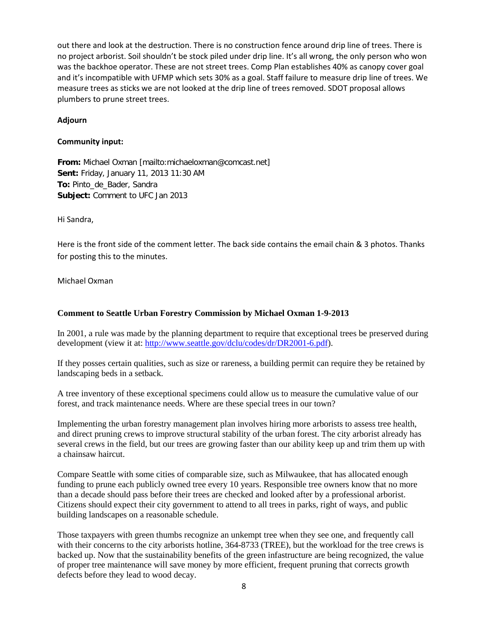out there and look at the destruction. There is no construction fence around drip line of trees. There is no project arborist. Soil shouldn't be stock piled under drip line. It's all wrong, the only person who won was the backhoe operator. These are not street trees. Comp Plan establishes 40% as canopy cover goal and it's incompatible with UFMP which sets 30% as a goal. Staff failure to measure drip line of trees. We measure trees as sticks we are not looked at the drip line of trees removed. SDOT proposal allows plumbers to prune street trees.

#### **Adjourn**

#### **Community input:**

**From:** Michael Oxman [mailto:michaeloxman@comcast.net] **Sent:** Friday, January 11, 2013 11:30 AM **To:** Pinto\_de\_Bader, Sandra **Subject:** Comment to UFC Jan 2013

Hi Sandra,

Here is the front side of the comment letter. The back side contains the email chain & 3 photos. Thanks for posting this to the minutes.

#### Michael Oxman

#### **Comment to Seattle Urban Forestry Commission by Michael Oxman 1-9-2013**

In 2001, a rule was made by the planning department to require that exceptional trees be preserved during development (view it at: [http://www.seattle.gov/dclu/codes/dr/DR2001-6.pdf\)](http://www.seattle.gov/dclu/codes/dr/DR2001-6.pdf).

If they posses certain qualities, such as size or rareness, a building permit can require they be retained by landscaping beds in a setback.

A tree inventory of these exceptional specimens could allow us to measure the cumulative value of our forest, and track maintenance needs. Where are these special trees in our town?

Implementing the urban forestry management plan involves hiring more arborists to assess tree health, and direct pruning crews to improve structural stability of the urban forest. The city arborist already has several crews in the field, but our trees are growing faster than our ability keep up and trim them up with a chainsaw haircut.

Compare Seattle with some cities of comparable size, such as Milwaukee, that has allocated enough funding to prune each publicly owned tree every 10 years. Responsible tree owners know that no more than a decade should pass before their trees are checked and looked after by a professional arborist. Citizens should expect their city government to attend to all trees in parks, right of ways, and public building landscapes on a reasonable schedule.

Those taxpayers with green thumbs recognize an unkempt tree when they see one, and frequently call with their concerns to the city arborists hotline, 364-8733 (TREE), but the workload for the tree crews is backed up. Now that the sustainability benefits of the green infastructure are being recognized, the value of proper tree maintenance will save money by more efficient, frequent pruning that corrects growth defects before they lead to wood decay.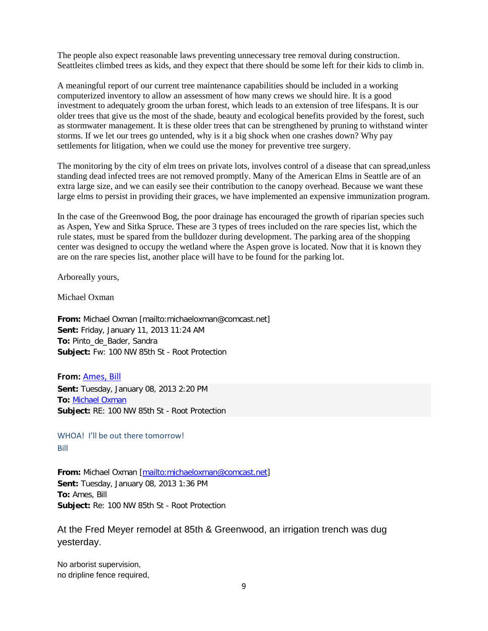The people also expect reasonable laws preventing unnecessary tree removal during construction. Seattleites climbed trees as kids, and they expect that there should be some left for their kids to climb in.

A meaningful report of our current tree maintenance capabilities should be included in a working computerized inventory to allow an assessment of how many crews we should hire. It is a good investment to adequately groom the urban forest, which leads to an extension of tree lifespans. It is our older trees that give us the most of the shade, beauty and ecological benefits provided by the forest, such as stormwater management. It is these older trees that can be strengthened by pruning to withstand winter storms. If we let our trees go untended, why is it a big shock when one crashes down? Why pay settlements for litigation, when we could use the money for preventive tree surgery.

The monitoring by the city of elm trees on private lots, involves control of a disease that can spread,unless standing dead infected trees are not removed promptly. Many of the American Elms in Seattle are of an extra large size, and we can easily see their contribution to the canopy overhead. Because we want these large elms to persist in providing their graces, we have implemented an expensive immunization program.

In the case of the Greenwood Bog, the poor drainage has encouraged the growth of riparian species such as Aspen, Yew and Sitka Spruce. These are 3 types of trees included on the rare species list, which the rule states, must be spared from the bulldozer during development. The parking area of the shopping center was designed to occupy the wetland where the Aspen grove is located. Now that it is known they are on the rare species list, another place will have to be found for the parking lot.

Arboreally yours,

Michael Oxman

**From:** Michael Oxman [mailto:michaeloxman@comcast.net] **Sent:** Friday, January 11, 2013 11:24 AM **To:** Pinto\_de\_Bader, Sandra **Subject:** Fw: 100 NW 85th St - Root Protection

**From:** [Ames, Bill](mailto:Bill.Ames@seattle.gov) **Sent:** Tuesday, January 08, 2013 2:20 PM **To:** [Michael Oxman](mailto:michaeloxman@comcast.net) **Subject:** RE: 100 NW 85th St - Root Protection

WHOA! I'll be out there tomorrow! Bill

**From:** Michael Oxman [\[mailto:michaeloxman@comcast.net\]](mailto:michaeloxman@comcast.net) **Sent:** Tuesday, January 08, 2013 1:36 PM **To:** Ames, Bill **Subject:** Re: 100 NW 85th St - Root Protection

At the Fred Meyer remodel at 85th & Greenwood, an irrigation trench was dug yesterday.

No arborist supervision, no dripline fence required,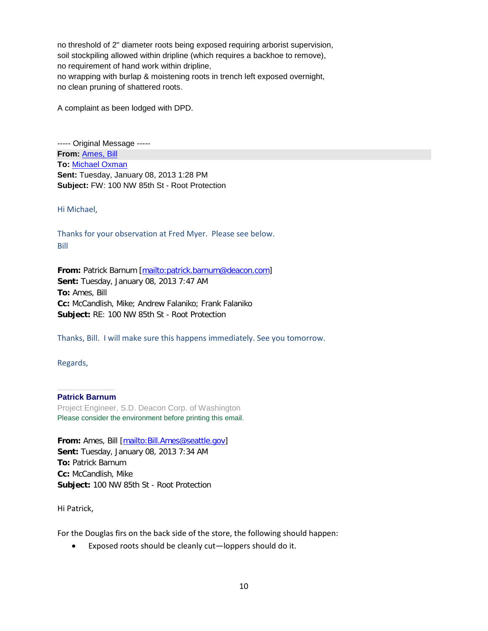no threshold of 2" diameter roots being exposed requiring arborist supervision, soil stockpiling allowed within dripline (which requires a backhoe to remove), no requirement of hand work within dripline, no wrapping with burlap & moistening roots in trench left exposed overnight, no clean pruning of shattered roots.

A complaint as been lodged with DPD.

----- Original Message ----- **From:** [Ames, Bill](mailto:Bill.Ames@seattle.gov) **To:** [Michael Oxman](mailto:michaeloxman@comcast.net) **Sent:** Tuesday, January 08, 2013 1:28 PM **Subject:** FW: 100 NW 85th St - Root Protection

Hi Michael,

Thanks for your observation at Fred Myer. Please see below. Bill

**From:** Patrick Barnum [\[mailto:patrick.barnum@deacon.com\]](mailto:patrick.barnum@deacon.com) **Sent:** Tuesday, January 08, 2013 7:47 AM **To:** Ames, Bill **Cc:** McCandlish, Mike; Andrew Falaniko; Frank Falaniko **Subject:** RE: 100 NW 85th St - Root Protection

Thanks, Bill. I will make sure this happens immediately. See you tomorrow.

Regards,

#### **\_\_\_\_\_\_\_\_\_\_\_\_\_ Patrick Barnum**

Project Engineer, S.D. Deacon Corp. of Washington Please consider the environment before printing this email.

**From:** Ames, Bill [\[mailto:Bill.Ames@seattle.gov\]](mailto:Bill.Ames@seattle.gov) **Sent:** Tuesday, January 08, 2013 7:34 AM **To:** Patrick Barnum **Cc:** McCandlish, Mike **Subject:** 100 NW 85th St - Root Protection

Hi Patrick,

For the Douglas firs on the back side of the store, the following should happen:

• Exposed roots should be cleanly cut—loppers should do it.